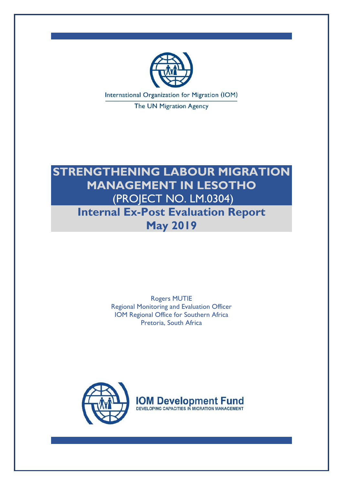

The UN Migration Agency

# **STRENGTHENING LABOUR MIGRATION MANAGEMENT IN LESOTHO** (PROJECT NO. LM.0304) **Internal Ex-Post Evaluation Report May 2019**

Rogers MUTIE Regional Monitoring and Evaluation Officer IOM Regional Office for Southern Africa Pretoria, South Africa



**IOM Development Fund** DEVELOPING CAPACITIES IN MIGRATION MANAGEMENT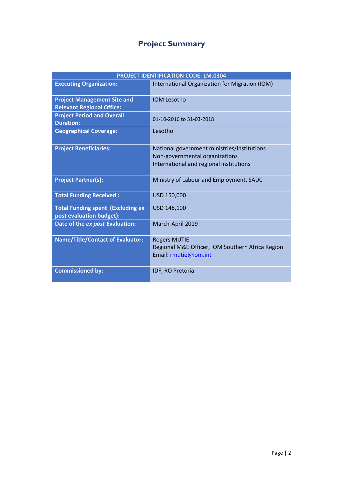# **Project Summary**

| <b>PROJECT IDENTIFICATION CODE: LM.0304</b>                            |                                                                                                                          |  |
|------------------------------------------------------------------------|--------------------------------------------------------------------------------------------------------------------------|--|
| <b>Executing Organization:</b>                                         | International Organization for Migration (IOM)                                                                           |  |
| <b>Project Management Site and</b><br><b>Relevant Regional Office:</b> | <b>IOM Lesotho</b>                                                                                                       |  |
| <b>Project Period and Overall</b><br><b>Duration:</b>                  | 01-10-2016 to 31-03-2018                                                                                                 |  |
| <b>Geographical Coverage:</b>                                          | Lesotho                                                                                                                  |  |
| <b>Project Beneficiaries:</b>                                          | National government ministries/institutions<br>Non-governmental organizations<br>International and regional institutions |  |
| <b>Project Partner(s):</b>                                             | Ministry of Labour and Employment, SADC                                                                                  |  |
| <b>Total Funding Received:</b>                                         | USD 150,000                                                                                                              |  |
| <b>Total Funding spent (Excluding ex</b><br>post evaluation budget):   | USD 148,100                                                                                                              |  |
| Date of the ex post Evaluation:                                        | March-April 2019                                                                                                         |  |
| <b>Name/Title/Contact of Evaluator:</b>                                | <b>Rogers MUTIE</b><br>Regional M&E Officer, IOM Southern Africa Region<br>Email: rmutie@iom.int                         |  |
| <b>Commissioned by:</b>                                                | IDF, RO Pretoria                                                                                                         |  |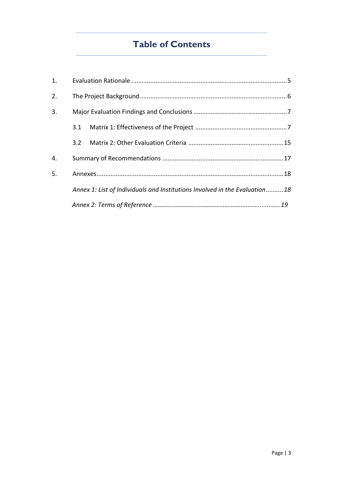# **Table of Contents**

| 2.             |     |                                                                             |  |
|----------------|-----|-----------------------------------------------------------------------------|--|
| 3 <sub>1</sub> |     |                                                                             |  |
|                |     |                                                                             |  |
|                | 3.2 |                                                                             |  |
| 4.             |     |                                                                             |  |
| 5.             |     |                                                                             |  |
|                |     | Annex 1: List of Individuals and Institutions Involved in the Evaluation 18 |  |
|                |     |                                                                             |  |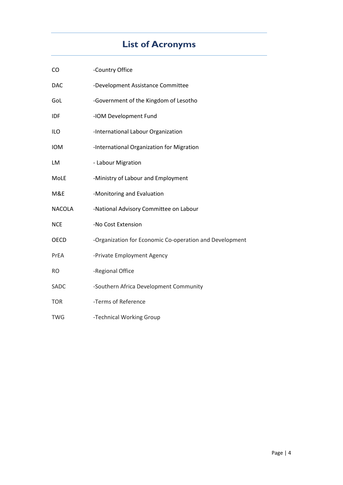# **List of Acronyms**

| <b>CO</b>     | -Country Office                                         |
|---------------|---------------------------------------------------------|
| <b>DAC</b>    | -Development Assistance Committee                       |
| GoL           | -Government of the Kingdom of Lesotho                   |
| IDF           | -IOM Development Fund                                   |
| ILO           | -International Labour Organization                      |
| <b>IOM</b>    | -International Organization for Migration               |
| LM            | - Labour Migration                                      |
| MoLE          | -Ministry of Labour and Employment                      |
| M&E           | -Monitoring and Evaluation                              |
| <b>NACOLA</b> | -National Advisory Committee on Labour                  |
| <b>NCE</b>    | -No Cost Extension                                      |
| <b>OECD</b>   | -Organization for Economic Co-operation and Development |
| PrEA          | -Private Employment Agency                              |
| <b>RO</b>     | -Regional Office                                        |
| SADC          | -Southern Africa Development Community                  |
| <b>TOR</b>    | -Terms of Reference                                     |
| TWG           | -Technical Working Group                                |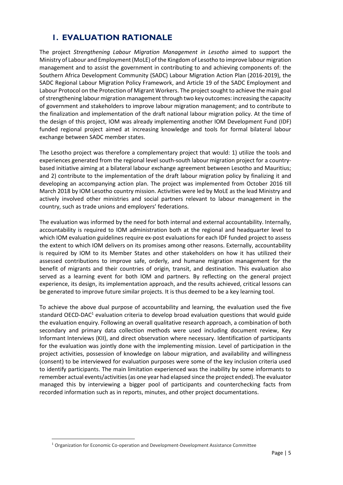## <span id="page-4-0"></span>**1. EVALUATION RATIONALE**

The project *Strengthening Labour Migration Management in Lesotho* aimed to support the Ministry of Labour and Employment (MoLE) of the Kingdom of Lesotho to improve labour migration management and to assist the government in contributing to and achieving components of: the Southern Africa Development Community (SADC) Labour Migration Action Plan (2016-2019), the SADC Regional Labour Migration Policy Framework, and Article 19 of the SADC Employment and Labour Protocol on the Protection of Migrant Workers. The project sought to achieve the main goal of strengthening labour migration management through two key outcomes: increasing the capacity of government and stakeholders to improve labour migration management; and to contribute to the finalization and implementation of the draft national labour migration policy. At the time of the design of this project, IOM was already implementing another IOM Development Fund (IDF) funded regional project aimed at increasing knowledge and tools for formal bilateral labour exchange between SADC member states.

The Lesotho project was therefore a complementary project that would: 1) utilize the tools and experiences generated from the regional level south-south labour migration project for a countrybased initiative aiming at a bilateral labour exchange agreement between Lesotho and Mauritius; and 2) contribute to the implementation of the draft labour migration policy by finalizing it and developing an accompanying action plan. The project was implemented from October 2016 till March 2018 by IOM Lesotho country mission. Activities were led by MoLE as the lead Ministry and actively involved other ministries and social partners relevant to labour management in the country, such as trade unions and employers' federations.

The evaluation was informed by the need for both internal and external accountability. Internally, accountability is required to IOM administration both at the regional and headquarter level to which IOM evaluation guidelines require ex-post evaluations for each IDF funded project to assess the extent to which IOM delivers on its promises among other reasons. Externally, accountability is required by IOM to its Member States and other stakeholders on how it has utilized their assessed contributions to improve safe, orderly, and humane migration management for the benefit of migrants and their countries of origin, transit, and destination. This evaluation also served as a learning event for both IOM and partners. By reflecting on the general project experience, its design, its implementation approach, and the results achieved, critical lessons can be generated to improve future similar projects. It is thus deemed to be a key learning tool.

To achieve the above dual purpose of accountability and learning, the evaluation used the five standard OECD-DAC<sup>1</sup> evaluation criteria to develop broad evaluation questions that would guide the evaluation enquiry. Following an overall qualitative research approach, a combination of both secondary and primary data collection methods were used including document review, Key Informant Interviews (KII), and direct observation where necessary. Identification of participants for the evaluation was jointly done with the implementing mission. Level of participation in the project activities, possession of knowledge on labour migration, and availability and willingness (consent) to be interviewed for evaluation purposes were some of the key inclusion criteria used to identify participants. The main limitation experienced was the inability by some informants to remember actual events/activities (as one year had elapsed since the project ended). The evaluator managed this by interviewing a bigger pool of participants and counterchecking facts from recorded information such as in reports, minutes, and other project documentations.

<span id="page-4-1"></span><sup>1</sup> Organization for Economic Co-operation and Development-Development Assistance Committee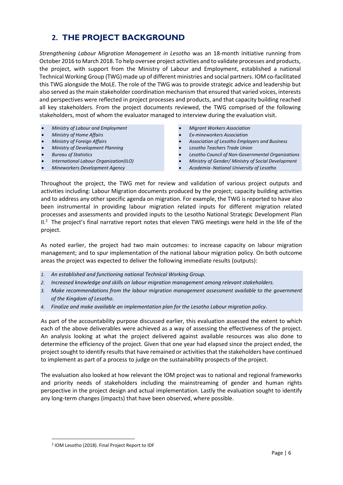# **2. THE PROJECT BACKGROUND**

*Strengthening Labour Migration Management in Lesotho* was an 18-month initiative running from October 2016 to March 2018. To help oversee project activities and to validate processes and products, the project, with support from the Ministry of Labour and Employment, established a national Technical Working Group (TWG) made up of different ministries and social partners. IOM co-facilitated this TWG alongside the MoLE. The role of the TWG was to provide strategic advice and leadership but also served as the main stakeholder coordination mechanism that ensured that varied voices, interests and perspectives were reflected in project processes and products, and that capacity building reached all key stakeholders. From the project documents reviewed, the TWG comprised of the following stakeholders, most of whom the evaluator managed to interview during the evaluation visit.

- *Ministry of Labour and Employment*
- *Ministry of Home Affairs*
- *Ministry of Foreign Affairs*
- *Ministry of Development Planning*
- *Bureau of Statistics*
- *International Labour Organization(ILO)*
- *Mineworkers Development Agency*
- *Migrant Workers Association*
- *Ex-mineworkers Association*
- *Association of Lesotho Employers and Business*
- *Lesotho Teachers Trade Union*
- *Lesotho Council of Non-Governmental Organizations*
- *Ministry of Gender/ Ministry of Social Development*
- *Academia- National University of Lesotho*

Throughout the project, the TWG met for review and validation of various project outputs and activities including: Labour Migration documents produced by the project; capacity building activities and to address any other specific agenda on migration. For example, the TWG is reported to have also been instrumental in providing labour migration related inputs for different migration related processes and assessments and provided inputs to the Lesotho National Strategic Development Plan II.<sup>2</sup> The project's final narrative report notes that eleven TWG meetings were held in the life of the project.

As noted earlier, the project had two main outcomes: to increase capacity on labour migration management; and to spur implementation of the national labour migration policy. On both outcome areas the project was expected to deliver the following immediate results (outputs):

- *1. An established and functioning national Technical Working Group.*
- *2. Increased knowledge and skills on labour migration management among relevant stakeholders.*
- *3. Make recommendations from the labour migration management assessment available to the government of the Kingdom of Lesotho.*
- *4. Finalize and make available an implementation plan for the Lesotho Labour migration policy.*

As part of the accountability purpose discussed earlier, this evaluation assessed the extent to which each of the above deliverables were achieved as a way of assessing the effectiveness of the project. An analysis looking at what the project delivered against available resources was also done to determine the efficiency of the project. Given that one year had elapsed since the project ended, the project sought to identify results that have remained or activities that the stakeholders have continued to implement as part of a process to judge on the sustainability prospects of the project.

The evaluation also looked at how relevant the IOM project was to national and regional frameworks and priority needs of stakeholders including the mainstreaming of gender and human rights perspective in the project design and actual implementation. Lastly the evaluation sought to identify any long-term changes (impacts) that have been observed, where possible.

<sup>2</sup> IOM Lesotho (2018). Final Project Report to IDF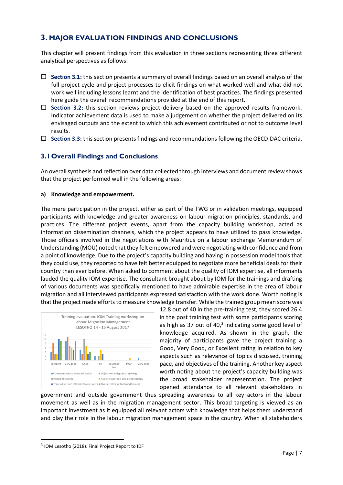## <span id="page-6-0"></span>**3. MAJOR EVALUATION FINDINGS AND CONCLUSIONS**

<span id="page-6-1"></span>This chapter will present findings from this evaluation in three sections representing three different analytical perspectives as follows:

- **Section 3.1:** this section presents a summary of overall findings based on an overall analysis of the full project cycle and project processes to elicit findings on what worked well and what did not work well including lessons learnt and the identification of best practices. The findings presented here guide the overall recommendations provided at the end of this report.
- □ Section 3.2: this section reviews project delivery based on the approved results framework. Indicator achievement data is used to make a judgement on whether the project delivered on its envisaged outputs and the extent to which this achievement contributed or not to outcome level results.
- **Section 3.3:** this section presents findings and recommendations following the OECD-DAC criteria.

## **3.1Overall Findings and Conclusions**

An overall synthesis and reflection over data collected through interviews and document review shows that the project performed well in the following areas:

## **a) Knowledge and empowerment.**

The mere participation in the project, either as part of the TWG or in validation meetings, equipped participants with knowledge and greater awareness on labour migration principles, standards, and practices. The different project events, apart from the capacity building workshop, acted as information dissemination channels, which the project appears to have utilized to pass knowledge. Those officials involved in the negotiations with Mauritius on a labour exchange Memorandum of Understanding (MOU) noted that they felt empowered and were negotiating with confidence and from a point of knowledge. Due to the project's capacity building and having in possession model tools that they could use, they reported to have felt better equipped to negotiate more beneficial deals for their country than ever before. When asked to comment about the quality of IOM expertise, all informants lauded the quality IOM expertise. The consultant brought about by IOM for the trainings and drafting of various documents was specifically mentioned to have admirable expertise in the area of labour migration and all interviewed participants expressed satisfaction with the work done. Worth noting is that the project made efforts to measure knowledge transfer. While the trained group mean score was



12.8 out of 40 in the pre-training test, they scored 26.4 in the post training test with some participants scoring as high as 37 out of  $40<sup>3</sup>$  indicating some good level of knowledge acquired. As shown in the graph, the majority of participants gave the project training a Good, Very Good, or Excellent rating in relation to key aspects such as relevance of topics discussed, training pace, and objectives of the training. Another key aspect worth noting about the project's capacity building was the broad stakeholder representation. The project opened attendance to all relevant stakeholders in

government and outside government thus spreading awareness to all key actors in the labour movement as well as in the migration management sector. This broad targeting is viewed as an important investment as it equipped all relevant actors with knowledge that helps them understand and play their role in the labour migration management space in the country. When all stakeholders

 $^3$  IOM Lesotho (2018). Final Project Report to IDF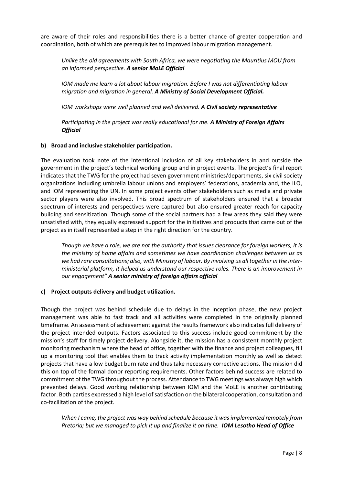are aware of their roles and responsibilities there is a better chance of greater cooperation and coordination, both of which are prerequisites to improved labour migration management.

*Unlike the old agreements with South Africa, we were negotiating the Mauritius MOU from an informed perspective. A senior MoLE Official*

*IOM made me learn a lot about labour migration. Before I was not differentiating labour migration and migration in general. A Ministry of Social Development Official.*

*IOM workshops were well planned and well delivered. A Civil society representative*

*Participating in the project was really educational for me. A Ministry of Foreign Affairs Official* 

## **b) Broad and inclusive stakeholder participation.**

The evaluation took note of the intentional inclusion of all key stakeholders in and outside the government in the project's technical working group and in project events. The project's final report indicates that the TWG for the project had seven government ministries/departments, six civil society organizations including umbrella labour unions and employers' federations, academia and, the ILO, and IOM representing the UN. In some project events other stakeholders such as media and private sector players were also involved. This broad spectrum of stakeholders ensured that a broader spectrum of interests and perspectives were captured but also ensured greater reach for capacity building and sensitization. Though some of the social partners had a few areas they said they were unsatisfied with, they equally expressed support for the initiatives and products that came out of the project as in itself represented a step in the right direction for the country.

*Though we have a role, we are not the authority that issues clearance for foreign workers, it is the ministry of home affairs and sometimes we have coordination challenges between us as we had rare consultations; also, with Ministry of labour. By involving us all together in the interministerial platform, it helped us understand our respective roles. There is an improvement in our engagement" A senior ministry of foreign affairs official*

## **c) Project outputs delivery and budget utilization.**

Though the project was behind schedule due to delays in the inception phase, the new project management was able to fast track and all activities were completed in the originally planned timeframe. An assessment of achievement against the results framework also indicates full delivery of the project intended outputs. Factors associated to this success include good commitment by the mission's staff for timely project delivery. Alongside it, the mission has a consistent monthly project monitoring mechanism where the head of office, together with the finance and project colleagues, fill up a monitoring tool that enables them to track activity implementation monthly as well as detect projects that have a low budget burn rate and thus take necessary corrective actions. The mission did this on top of the formal donor reporting requirements. Other factors behind success are related to commitment of the TWG throughout the process. Attendance to TWG meetings was always high which prevented delays. Good working relationship between IOM and the MoLE is another contributing factor. Both parties expressed a high level of satisfaction on the bilateral cooperation, consultation and co-facilitation of the project.

*When I came, the project was way behind schedule because it was implemented remotely from Pretoria; but we managed to pick it up and finalize it on time. IOM Lesotho Head of Office*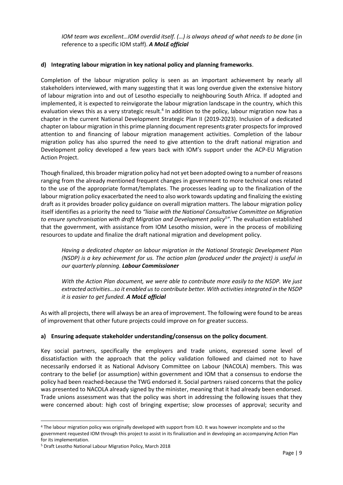*IOM team was excellent...IOM overdid itself. (...) is always ahead of what needs to be done* (in reference to a specific IOM staff). *A MoLE official*

## **d) Integrating labour migration in key national policy and planning frameworks**.

Completion of the labour migration policy is seen as an important achievement by nearly all stakeholders interviewed, with many suggesting that it was long overdue given the extensive history of labour migration into and out of Lesotho especially to neighbouring South Africa. If adopted and implemented, it is expected to reinvigorate the labour migration landscape in the country, which this evaluation views this as a very strategic result.<sup>4</sup> In addition to the policy, labour migration now has a chapter in the current National Development Strategic Plan II (2019-2023). Inclusion of a dedicated chapter on labour migration in this prime planning document represents grater prospects for improved attention to and financing of labour migration management activities. Completion of the labour migration policy has also spurred the need to give attention to the draft national migration and Development policy developed a few years back with IOM's support under the ACP-EU Migration Action Project.

Though finalized, this broader migration policy had not yet been adopted owing to a number of reasons ranging from the already mentioned frequent changes in government to more technical ones related to the use of the appropriate format/templates. The processes leading up to the finalization of the labour migration policy exacerbated the need to also work towards updating and finalizing the existing draft as it provides broader policy guidance on overall migration matters. The labour migration policy itself identifies as a priority the need to *"liaise with the National Consultative Committee on Migration to ensure synchronisation with draft Migration and Development policy<sup>5</sup> "*. The evaluation established that the government, with assistance from IOM Lesotho mission, were in the process of mobilizing resources to update and finalize the draft national migration and development policy.

*Having a dedicated chapter on labour migration in the National Strategic Development Plan (NSDP) is a key achievement for us. The action plan (produced under the project) is useful in our quarterly planning. Labour Commissioner*

*With the Action Plan document, we were able to contribute more easily to the NSDP. We just extracted activities…so it enabled us to contribute better. With activitiesintegrated in the NSDP it is easier to get funded. A MoLE official*

As with all projects, there will always be an area of improvement. The following were found to be areas of improvement that other future projects could improve on for greater success.

## **a) Ensuring adequate stakeholder understanding/consensus on the policy document**.

Key social partners, specifically the employers and trade unions, expressed some level of dissatisfaction with the approach that the policy validation followed and claimed not to have necessarily endorsed it as National Advisory Committee on Labour (NACOLA) members. This was contrary to the belief (or assumption) within government and IOM that a consensus to endorse the policy had been reached-because the TWG endorsed it. Social partners raised concerns that the policy was presented to NACOLA already signed by the minister, meaning that it had already been endorsed. Trade unions assessment was that the policy was short in addressing the following issues that they were concerned about: high cost of bringing expertise; slow processes of approval; security and

<sup>4</sup> The labour migration policy was originally developed with support from ILO. It was however incomplete and so the government requested IOM through this project to assist in its finalization and in developing an accompanying Action Plan for its implementation.

<sup>5</sup> Draft Lesotho National Labour Migration Policy, March 2018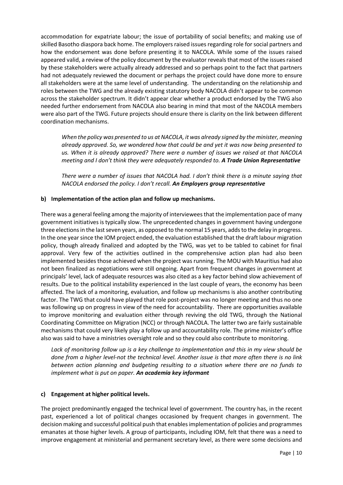accommodation for expatriate labour; the issue of portability of social benefits; and making use of skilled Basotho diaspora back home. The employers raised issues regarding role for social partners and how the endorsement was done before presenting it to NACOLA. While some of the issues raised appeared valid, a review of the policy document by the evaluator reveals that most of the issues raised by these stakeholders were actually already addressed and so perhaps point to the fact that partners had not adequately reviewed the document or perhaps the project could have done more to ensure all stakeholders were at the same level of understanding. The understanding on the relationship and roles between the TWG and the already existing statutory body NACOLA didn't appear to be common across the stakeholder spectrum. It didn't appear clear whether a product endorsed by the TWG also needed further endorsement from NACOLA also bearing in mind that most of the NACOLA members were also part of the TWG. Future projects should ensure there is clarity on the link between different coordination mechanisms.

*When the policy was presented to us at NACOLA, it was already signed by the minister, meaning already approved. So, we wondered how that could be and yet it was now being presented to us. When it is already approved? There were a number of issues we raised at that NACOLA meeting and I don't think they were adequately responded to. A Trade Union Representative* 

*There were a number of issues that NACOLA had. I don't think there is a minute saying that NACOLA endorsed the policy. I don't recall. An Employers group representative* 

## **b) Implementation of the action plan and follow up mechanisms.**

There was a general feeling among the majority of interviewees that the implementation pace of many government initiatives is typically slow. The unprecedented changes in government having undergone three elections in the last seven years, as opposed to the normal 15 years, adds to the delay in progress. In the one year since the IOM project ended, the evaluation established that the draft labour migration policy, though already finalized and adopted by the TWG, was yet to be tabled to cabinet for final approval. Very few of the activities outlined in the comprehensive action plan had also been implemented besides those achieved when the project was running. The MOU with Mauritius had also not been finalized as negotiations were still ongoing. Apart from frequent changes in government at principals' level, lack of adequate resources was also cited as a key factor behind slow achievement of results. Due to the political instability experienced in the last couple of years, the economy has been affected. The lack of a monitoring, evaluation, and follow up mechanisms is also another contributing factor. The TWG that could have played that role post-project was no longer meeting and thus no one was following up on progress in view of the need for accountability. There are opportunities available to improve monitoring and evaluation either through reviving the old TWG, through the National Coordinating Committee on Migration (NCC) or through NACOLA. The latter two are fairly sustainable mechanisms that could very likely play a follow up and accountability role. The prime minister's office also was said to have a ministries oversight role and so they could also contribute to monitoring.

*Lack of monitoring follow up is a key challenge to implementation and this in my view should be done from a higher level-not the technical level. Another issue is that more often there is no link between action planning and budgeting resulting to a situation where there are no funds to implement what is put on paper. An academia key informant*

## **c) Engagement at higher political levels.**

The project predominantly engaged the technical level of government. The country has, in the recent past, experienced a lot of political changes occasioned by frequent changes in government. The decision making and successful political push that enables implementation of policies and programmes emanates at those higher levels. A group of participants, including IOM, felt that there was a need to improve engagement at ministerial and permanent secretary level, as there were some decisions and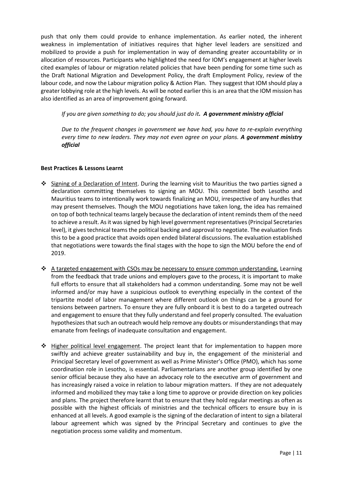push that only them could provide to enhance implementation. As earlier noted, the inherent weakness in implementation of initiatives requires that higher level leaders are sensitized and mobilized to provide a push for implementation in way of demanding greater accountability or in allocation of resources. Participants who highlighted the need for IOM's engagement at higher levels cited examples of labour or migration related policies that have been pending for some time such as the Draft National Migration and Development Policy, the draft Employment Policy, review of the labour code, and now the Labour migration policy & Action Plan. They suggest that IOM should play a greater lobbying role at the high levels. As will be noted earlier this is an area that the IOM mission has also identified as an area of improvement going forward.

*If you are given something to do; you should just do it. A government ministry official* 

*Due to the frequent changes in government we have had, you have to re-explain everything every time to new leaders. They may not even agree on your plans. A government ministry official* 

## **Best Practices & Lessons Learnt**

- ❖ Signing of a Declaration of Intent. During the learning visit to Mauritius the two parties signed a declaration committing themselves to signing an MOU. This committed both Lesotho and Mauritius teams to intentionally work towards finalizing an MOU, irrespective of any hurdles that may present themselves. Though the MOU negotiations have taken long, the idea has remained on top of both technical teams largely because the declaration of intent reminds them of the need to achieve a result. As it was signed by high level government representatives (Principal Secretaries level), it gives technical teams the political backing and approval to negotiate. The evaluation finds this to be a good practice that avoids open ended bilateral discussions. The evaluation established that negotiations were towards the final stages with the hope to sign the MOU before the end of 2019.
- ❖ A targeted engagement with CSOs may be necessary to ensure common understanding. Learning from the feedback that trade unions and employers gave to the process, it is important to make full efforts to ensure that all stakeholders had a common understanding. Some may not be well informed and/or may have a suspicious outlook to everything especially in the context of the tripartite model of labor management where different outlook on things can be a ground for tensions between partners. To ensure they are fully onboard it is best to do a targeted outreach and engagement to ensure that they fully understand and feel properly consulted. The evaluation hypothesizes that such an outreach would help remove any doubts or misunderstandings that may emanate from feelings of inadequate consultation and engagement.
- ❖ Higher political level engagement. The project leant that for implementation to happen more swiftly and achieve greater sustainability and buy in, the engagement of the ministerial and Principal Secretary level of government as well as Prime Minister's Office (PMO), which has some coordination role in Lesotho, is essential. Parliamentarians are another group identified by one senior official because they also have an advocacy role to the executive arm of government and has increasingly raised a voice in relation to labour migration matters. If they are not adequately informed and mobilized they may take a long time to approve or provide direction on key policies and plans. The project therefore learnt that to ensure that they hold regular meetings as often as possible with the highest officials of ministries and the technical officers to ensure buy in is enhanced at all levels. A good example is the signing of the declaration of intent to sign a bilateral labour agreement which was signed by the Principal Secretary and continues to give the negotiation process some validity and momentum.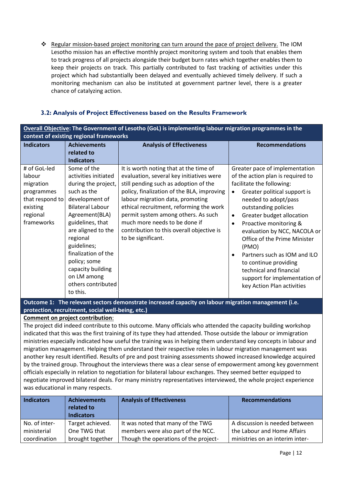❖ Regular mission-based project monitoring can turn around the pace of project delivery. The IOM Lesotho mission has an effective monthly project monitoring system and tools that enables them to track progress of all projects alongside their budget burn rates which together enables them to keep their projects on track. This partially contributed to fast tracking of activities under this project which had substantially been delayed and eventually achieved timely delivery. If such a monitoring mechanism can also be instituted at government partner level, there is a greater chance of catalyzing action.

## **3.2: Analysis of Project Effectiveness based on the Results Framework**

| Overall Objective: The Government of Lesotho (GoL) is implementing labour migration programmes in the      |                                                                                                                                                                                                                                                                                                                            |                                                                                                                                                                                                                                                                                                                                                                                                     |                                                                                                                                                                                                                                                                                                                                                                                                                                                                                                            |  |
|------------------------------------------------------------------------------------------------------------|----------------------------------------------------------------------------------------------------------------------------------------------------------------------------------------------------------------------------------------------------------------------------------------------------------------------------|-----------------------------------------------------------------------------------------------------------------------------------------------------------------------------------------------------------------------------------------------------------------------------------------------------------------------------------------------------------------------------------------------------|------------------------------------------------------------------------------------------------------------------------------------------------------------------------------------------------------------------------------------------------------------------------------------------------------------------------------------------------------------------------------------------------------------------------------------------------------------------------------------------------------------|--|
|                                                                                                            | context of existing regional frameworks                                                                                                                                                                                                                                                                                    |                                                                                                                                                                                                                                                                                                                                                                                                     |                                                                                                                                                                                                                                                                                                                                                                                                                                                                                                            |  |
| <b>Indicators</b>                                                                                          | <b>Achievements</b><br>related to<br><b>Indicators</b>                                                                                                                                                                                                                                                                     | <b>Analysis of Effectiveness</b>                                                                                                                                                                                                                                                                                                                                                                    | <b>Recommendations</b>                                                                                                                                                                                                                                                                                                                                                                                                                                                                                     |  |
| # of GoL-led<br>labour<br>migration<br>programmes<br>that respond to<br>existing<br>regional<br>frameworks | Some of the<br>activities initiated<br>during the project,<br>such as the<br>development of<br><b>Bilateral Labour</b><br>Agreement(BLA)<br>guidelines, that<br>are aligned to the<br>regional<br>guidelines;<br>finalization of the<br>policy; some<br>capacity building<br>on LM among<br>others contributed<br>to this. | It is worth noting that at the time of<br>evaluation, several key initiatives were<br>still pending such as adoption of the<br>policy, finalization of the BLA, improving<br>labour migration data, promoting<br>ethical recruitment, reforming the work<br>permit system among others. As such<br>much more needs to be done if<br>contribution to this overall objective is<br>to be significant. | Greater pace of implementation<br>of the action plan is required to<br>facilitate the following:<br>Greater political support is<br>needed to adopt/pass<br>outstanding policies<br>Greater budget allocation<br>$\bullet$<br>Proactive monitoring &<br>$\bullet$<br>evaluation by NCC, NACOLA or<br>Office of the Prime Minister<br>(PMO)<br>Partners such as IOM and ILO<br>$\bullet$<br>to continue providing<br>technical and financial<br>support for implementation of<br>key Action Plan activities |  |

**Outcome 1: The relevant sectors demonstrate increased capacity on labour migration management (i.e. protection, recruitment, social well-being, etc.)**

**Comment on project contribution**:

The project did indeed contribute to this outcome. Many officials who attended the capacity building workshop indicated that this was the first training of its type they had attended. Those outside the labour or immigration ministries especially indicated how useful the training was in helping them understand key concepts in labour and migration management. Helping them understand their respective roles in labour migration management was another key result identified. Results of pre and post training assessments showed increased knowledge acquired by the trained group. Throughout the interviews there was a clear sense of empowerment among key government officials especially in relation to negotiation for bilateral labour exchanges. They seemed better equipped to negotiate improved bilateral deals. For many ministry representatives interviewed, the whole project experience was educational in many respects.

| <b>Indicators</b> | <b>Achievements</b><br>related to<br><b>Indicators</b> | <b>Analysis of Effectiveness</b>      | <b>Recommendations</b>          |
|-------------------|--------------------------------------------------------|---------------------------------------|---------------------------------|
| No. of inter-     | Target achieved.                                       | It was noted that many of the TWG     | A discussion is needed between  |
| ministerial       | One TWG that                                           | members were also part of the NCC.    | the Labour and Home Affairs     |
| coordination      | brought together                                       | Though the operations of the project- | ministries on an interim inter- |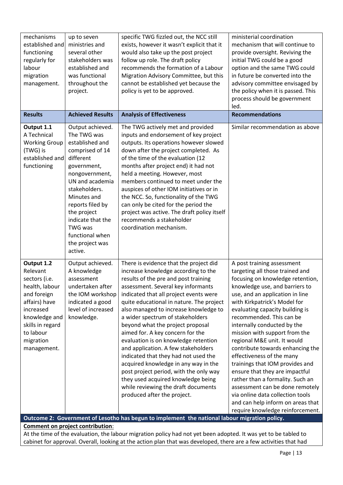| mechanisms<br>established and<br>functioning<br>regularly for<br>labour<br>migration<br>management.<br><b>Results</b>                                                                | up to seven<br>ministries and<br>several other<br>stakeholders was<br>established and<br>was functional<br>throughout the<br>project.<br><b>Achieved Results</b>                                                                                                                                  | specific TWG fizzled out, the NCC still<br>exists, however it wasn't explicit that it<br>would also take up the post project<br>follow up role. The draft policy<br>recommends the formation of a Labour<br>Migration Advisory Committee, but this<br>cannot be established yet because the<br>policy is yet to be approved.<br><b>Analysis of Effectiveness</b>                                                                                                                                                                                                                                                                                                                                                            | ministerial coordination<br>mechanism that will continue to<br>provide oversight. Reviving the<br>initial TWG could be a good<br>option and the same TWG could<br>in future be converted into the<br>advisory committee envisaged by<br>the policy when it is passed. This<br>process should be government<br>led.<br><b>Recommendations</b>                                                                                                                                                                                                                                                                                                                                                   |
|--------------------------------------------------------------------------------------------------------------------------------------------------------------------------------------|---------------------------------------------------------------------------------------------------------------------------------------------------------------------------------------------------------------------------------------------------------------------------------------------------|-----------------------------------------------------------------------------------------------------------------------------------------------------------------------------------------------------------------------------------------------------------------------------------------------------------------------------------------------------------------------------------------------------------------------------------------------------------------------------------------------------------------------------------------------------------------------------------------------------------------------------------------------------------------------------------------------------------------------------|------------------------------------------------------------------------------------------------------------------------------------------------------------------------------------------------------------------------------------------------------------------------------------------------------------------------------------------------------------------------------------------------------------------------------------------------------------------------------------------------------------------------------------------------------------------------------------------------------------------------------------------------------------------------------------------------|
|                                                                                                                                                                                      |                                                                                                                                                                                                                                                                                                   |                                                                                                                                                                                                                                                                                                                                                                                                                                                                                                                                                                                                                                                                                                                             |                                                                                                                                                                                                                                                                                                                                                                                                                                                                                                                                                                                                                                                                                                |
| Output 1.1<br>A Technical<br><b>Working Group</b><br>(TWG) is<br>established and<br>functioning                                                                                      | Output achieved.<br>The TWG was<br>established and<br>comprised of 14<br>different<br>government,<br>nongovernment,<br>UN and academia<br>stakeholders.<br>Minutes and<br>reports filed by<br>the project<br>indicate that the<br><b>TWG was</b><br>functional when<br>the project was<br>active. | The TWG actively met and provided<br>inputs and endorsement of key project<br>outputs. Its operations however slowed<br>down after the project completed. As<br>of the time of the evaluation (12<br>months after project end) it had not<br>held a meeting. However, most<br>members continued to meet under the<br>auspices of other IOM initiatives or in<br>the NCC. So, functionality of the TWG<br>can only be cited for the period the<br>project was active. The draft policy itself<br>recommends a stakeholder<br>coordination mechanism.                                                                                                                                                                         | Similar recommendation as above                                                                                                                                                                                                                                                                                                                                                                                                                                                                                                                                                                                                                                                                |
| Output 1.2<br>Relevant<br>sectors (i.e.<br>health, labour<br>and foreign<br>affairs) have<br>increased<br>knowledge and<br>skills in regard<br>to labour<br>migration<br>management. | Output achieved.<br>A knowledge<br>assessment<br>undertaken after<br>the IOM workshop<br>indicated a good<br>level of increased<br>knowledge.                                                                                                                                                     | There is evidence that the project did<br>increase knowledge according to the<br>results of the pre and post training<br>assessment. Several key informants<br>indicated that all project events were<br>quite educational in nature. The project<br>also managed to increase knowledge to<br>a wider spectrum of stakeholders<br>beyond what the project proposal<br>aimed for. A key concern for the<br>evaluation is on knowledge retention<br>and application. A few stakeholders<br>indicated that they had not used the<br>acquired knowledge in any way in the<br>post project period, with the only way<br>they used acquired knowledge being<br>while reviewing the draft documents<br>produced after the project. | A post training assessment<br>targeting all those trained and<br>focusing on knowledge retention,<br>knowledge use, and barriers to<br>use, and an application in line<br>with Kirkpatrick's Model for<br>evaluating capacity building is<br>recommended. This can be<br>internally conducted by the<br>mission with support from the<br>regional M&E unit. It would<br>contribute towards enhancing the<br>effectiveness of the many<br>trainings that IOM provides and<br>ensure that they are impactful<br>rather than a formality. Such an<br>assessment can be done remotely<br>via online data collection tools<br>and can help inform on areas that<br>require knowledge reinforcement. |

**Outcome 2: Government of Lesotho has begun to implement the national labour migration policy. Comment on project contribution**:

At the time of the evaluation, the labour migration policy had not yet been adopted. It was yet to be tabled to cabinet for approval. Overall, looking at the action plan that was developed, there are a few activities that had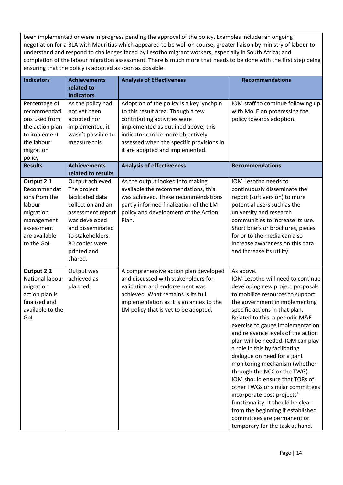been implemented or were in progress pending the approval of the policy. Examples include: an ongoing negotiation for a BLA with Mauritius which appeared to be well on course; greater liaison by ministry of labour to understand and respond to challenges faced by Lesotho migrant workers, especially in South Africa; and completion of the labour migration assessment. There is much more that needs to be done with the first step being ensuring that the policy is adopted as soon as possible.

| <b>Indicators</b>                                                                                                            | <b>Achievements</b><br>related to                                                                                                                                                                  | <b>Analysis of Effectiveness</b>                                                                                                                                                                                                                                         | <b>Recommendations</b>                                                                                                                                                                                                                                                                                                                                                                                                                                                                                                                                                                                                                                                                                                          |
|------------------------------------------------------------------------------------------------------------------------------|----------------------------------------------------------------------------------------------------------------------------------------------------------------------------------------------------|--------------------------------------------------------------------------------------------------------------------------------------------------------------------------------------------------------------------------------------------------------------------------|---------------------------------------------------------------------------------------------------------------------------------------------------------------------------------------------------------------------------------------------------------------------------------------------------------------------------------------------------------------------------------------------------------------------------------------------------------------------------------------------------------------------------------------------------------------------------------------------------------------------------------------------------------------------------------------------------------------------------------|
| Percentage of<br>recommendati<br>ons used from<br>the action plan<br>to implement<br>the labour<br>migration<br>policy       | <b>Indicators</b><br>As the policy had<br>not yet been<br>adopted nor<br>implemented, it<br>wasn't possible to<br>measure this                                                                     | Adoption of the policy is a key lynchpin<br>to this result area. Though a few<br>contributing activities were<br>implemented as outlined above, this<br>indicator can be more objectively<br>assessed when the specific provisions in<br>it are adopted and implemented. | IOM staff to continue following up<br>with MoLE on progressing the<br>policy towards adoption.                                                                                                                                                                                                                                                                                                                                                                                                                                                                                                                                                                                                                                  |
| <b>Results</b>                                                                                                               | <b>Achievements</b><br>related to results                                                                                                                                                          | <b>Analysis of effectiveness</b>                                                                                                                                                                                                                                         | <b>Recommendations</b>                                                                                                                                                                                                                                                                                                                                                                                                                                                                                                                                                                                                                                                                                                          |
| Output 2.1<br>Recommendat<br>ions from the<br>labour<br>migration<br>management<br>assessment<br>are available<br>to the GoL | Output achieved.<br>The project<br>facilitated data<br>collection and an<br>assessment report<br>was developed<br>and disseminated<br>to stakeholders.<br>80 copies were<br>printed and<br>shared. | As the output looked into making<br>available the recommendations, this<br>was achieved. These recommendations<br>partly informed finalization of the LM<br>policy and development of the Action<br>Plan.                                                                | IOM Lesotho needs to<br>continuously disseminate the<br>report (soft version) to more<br>potential users such as the<br>university and research<br>communities to increase its use.<br>Short briefs or brochures, pieces<br>for or to the media can also<br>increase awareness on this data<br>and increase its utility.                                                                                                                                                                                                                                                                                                                                                                                                        |
| Output 2.2<br>National labour<br>migration<br>action plan is<br>finalized and<br>available to the<br>GoL                     | Output was<br>achieved as<br>planned.                                                                                                                                                              | A comprehensive action plan developed<br>and discussed with stakeholders for<br>validation and endorsement was<br>achieved. What remains is its full<br>implementation as it is an annex to the<br>LM policy that is yet to be adopted.                                  | As above.<br>IOM Lesotho will need to continue<br>developing new project proposals<br>to mobilize resources to support<br>the government in implementing<br>specific actions in that plan.<br>Related to this, a periodic M&E<br>exercise to gauge implementation<br>and relevance levels of the action<br>plan will be needed. IOM can play<br>a role in this by facilitating<br>dialogue on need for a joint<br>monitoring mechanism (whether<br>through the NCC or the TWG).<br>IOM should ensure that TORs of<br>other TWGs or similar committees<br>incorporate post projects'<br>functionality. It should be clear<br>from the beginning if established<br>committees are permanent or<br>temporary for the task at hand. |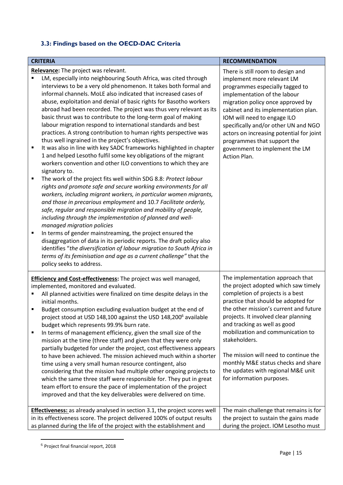## <span id="page-14-0"></span>**3.3: Findings based on the OECD-DAC Criteria**

| <b>CRITERIA</b><br><b>RECOMMENDATION</b>                                                                                                                                                                                                                                                                                                                                                                                                                                                                                                                                                                                                                                                                                                                                                                                                                                                                                                                                                                                                                                                                                                                                                                                                                                                                                                                                                                                                                                                                                                                                                                                                                              |                                                                                                                                                                                                                                                                                                                                                                                                                                                                                |  |  |
|-----------------------------------------------------------------------------------------------------------------------------------------------------------------------------------------------------------------------------------------------------------------------------------------------------------------------------------------------------------------------------------------------------------------------------------------------------------------------------------------------------------------------------------------------------------------------------------------------------------------------------------------------------------------------------------------------------------------------------------------------------------------------------------------------------------------------------------------------------------------------------------------------------------------------------------------------------------------------------------------------------------------------------------------------------------------------------------------------------------------------------------------------------------------------------------------------------------------------------------------------------------------------------------------------------------------------------------------------------------------------------------------------------------------------------------------------------------------------------------------------------------------------------------------------------------------------------------------------------------------------------------------------------------------------|--------------------------------------------------------------------------------------------------------------------------------------------------------------------------------------------------------------------------------------------------------------------------------------------------------------------------------------------------------------------------------------------------------------------------------------------------------------------------------|--|--|
|                                                                                                                                                                                                                                                                                                                                                                                                                                                                                                                                                                                                                                                                                                                                                                                                                                                                                                                                                                                                                                                                                                                                                                                                                                                                                                                                                                                                                                                                                                                                                                                                                                                                       |                                                                                                                                                                                                                                                                                                                                                                                                                                                                                |  |  |
| Relevance: The project was relevant.<br>LM, especially into neighbouring South Africa, was cited through<br>Ξ<br>interviews to be a very old phenomenon. It takes both formal and<br>informal channels. MoLE also indicated that increased cases of<br>abuse, exploitation and denial of basic rights for Basotho workers<br>abroad had been recorded. The project was thus very relevant as its<br>basic thrust was to contribute to the long-term goal of making<br>labour migration respond to international standards and best<br>practices. A strong contribution to human rights perspective was<br>thus well ingrained in the project's objectives.<br>It was also in line with key SADC frameworks highlighted in chapter<br>п<br>1 and helped Lesotho fulfil some key obligations of the migrant<br>workers convention and other ILO conventions to which they are<br>signatory to.<br>The work of the project fits well within SDG 8.8: Protect labour<br>п<br>rights and promote safe and secure working environments for all<br>workers, including migrant workers, in particular women migrants,<br>and those in precarious employment and 10.7 Facilitate orderly,<br>safe, regular and responsible migration and mobility of people,<br>including through the implementation of planned and well-<br>managed migration policies<br>In terms of gender mainstreaming, the project ensured the<br>٠<br>disaggregation of data in its periodic reports. The draft policy also<br>identifies "the diversification of labour migration to South Africa in<br>terms of its feminisation and age as a current challenge" that the<br>policy seeks to address. | There is still room to design and<br>implement more relevant LM<br>programmes especially tagged to<br>implementation of the labour<br>migration policy once approved by<br>cabinet and its implementation plan.<br>IOM will need to engage ILO<br>specifically and/or other UN and NGO<br>actors on increasing potential for joint<br>programmes that support the<br>government to implement the LM<br>Action Plan.                                                            |  |  |
| <b>Efficiency and Cost-effectiveness:</b> The project was well managed,<br>implemented, monitored and evaluated.<br>All planned activities were finalized on time despite delays in the<br>initial months.<br>Budget consumption excluding evaluation budget at the end of<br>п<br>project stood at USD 148,100 against the USD 148,200 <sup>6</sup> available<br>budget which represents 99.9% burn rate.<br>In terms of management efficiency, given the small size of the<br>٠<br>mission at the time (three staff) and given that they were only<br>partially budgeted for under the project, cost effectiveness appears<br>to have been achieved. The mission achieved much within a shorter<br>time using a very small human resource contingent, also<br>considering that the mission had multiple other ongoing projects to<br>which the same three staff were responsible for. They put in great<br>team effort to ensure the pace of implementation of the project<br>improved and that the key deliverables were delivered on time.                                                                                                                                                                                                                                                                                                                                                                                                                                                                                                                                                                                                                        | The implementation approach that<br>the project adopted which saw timely<br>completion of projects is a best<br>practice that should be adopted for<br>the other mission's current and future<br>projects. It involved clear planning<br>and tracking as well as good<br>mobilization and communication to<br>stakeholders.<br>The mission will need to continue the<br>monthly M&E status checks and share<br>the updates with regional M&E unit<br>for information purposes. |  |  |
| <b>Effectiveness:</b> as already analysed in section 3.1, the project scores well<br>in its effectiveness score. The project delivered 100% of output results<br>as planned during the life of the project with the establishment and                                                                                                                                                                                                                                                                                                                                                                                                                                                                                                                                                                                                                                                                                                                                                                                                                                                                                                                                                                                                                                                                                                                                                                                                                                                                                                                                                                                                                                 | The main challenge that remains is for<br>the project to sustain the gains made<br>during the project. IOM Lesotho must                                                                                                                                                                                                                                                                                                                                                        |  |  |

 $^6$  Project final financial report, 2018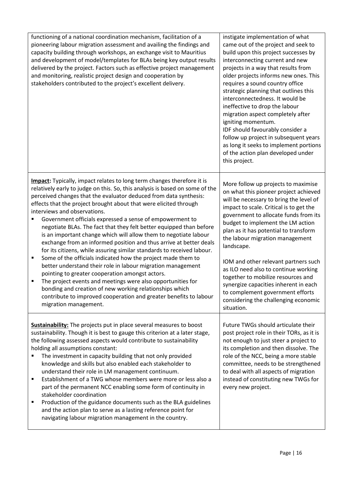| functioning of a national coordination mechanism, facilitation of a<br>pioneering labour migration assessment and availing the findings and<br>capacity building through workshops, an exchange visit to Mauritius<br>and development of model/templates for BLAs being key output results<br>delivered by the project. Factors such as effective project management<br>and monitoring, realistic project design and cooperation by<br>stakeholders contributed to the project's excellent delivery.                                                                                                                                                                                                                                                                                                                                                                                                                                                                                                                                                                                                                    | instigate implementation of what<br>came out of the project and seek to<br>build upon this project successes by<br>interconnecting current and new<br>projects in a way that results from<br>older projects informs new ones. This<br>requires a sound country office<br>strategic planning that outlines this<br>interconnectedness. It would be<br>ineffective to drop the labour<br>migration aspect completely after<br>igniting momentum.<br>IDF should favourably consider a<br>follow up project in subsequent years<br>as long it seeks to implement portions<br>of the action plan developed under<br>this project. |
|-------------------------------------------------------------------------------------------------------------------------------------------------------------------------------------------------------------------------------------------------------------------------------------------------------------------------------------------------------------------------------------------------------------------------------------------------------------------------------------------------------------------------------------------------------------------------------------------------------------------------------------------------------------------------------------------------------------------------------------------------------------------------------------------------------------------------------------------------------------------------------------------------------------------------------------------------------------------------------------------------------------------------------------------------------------------------------------------------------------------------|------------------------------------------------------------------------------------------------------------------------------------------------------------------------------------------------------------------------------------------------------------------------------------------------------------------------------------------------------------------------------------------------------------------------------------------------------------------------------------------------------------------------------------------------------------------------------------------------------------------------------|
| <b>Impact:</b> Typically, impact relates to long term changes therefore it is<br>relatively early to judge on this. So, this analysis is based on some of the<br>perceived changes that the evaluator deduced from data synthesis:<br>effects that the project brought about that were elicited through<br>interviews and observations.<br>Government officials expressed a sense of empowerment to<br>п<br>negotiate BLAs. The fact that they felt better equipped than before<br>is an important change which will allow them to negotiate labour<br>exchange from an informed position and thus arrive at better deals<br>for its citizens, while assuring similar standards to received labour.<br>Some of the officials indicated how the project made them to<br>п<br>better understand their role in labour migration management<br>pointing to greater cooperation amongst actors.<br>The project events and meetings were also opportunities for<br>п<br>bonding and creation of new working relationships which<br>contribute to improved cooperation and greater benefits to labour<br>migration management. | More follow up projects to maximise<br>on what this pioneer project achieved<br>will be necessary to bring the level of<br>impact to scale. Critical is to get the<br>government to allocate funds from its<br>budget to implement the LM action<br>plan as it has potential to transform<br>the labour migration management<br>landscape.<br>IOM and other relevant partners such<br>as ILO need also to continue working<br>together to mobilize resources and<br>synergize capacities inherent in each<br>to complement government efforts<br>considering the challenging economic<br>situation.                          |
| <b>Sustainability:</b> The projects put in place several measures to boost<br>sustainability. Though it is best to gauge this criterion at a later stage,<br>the following assessed aspects would contribute to sustainability<br>holding all assumptions constant:<br>The investment in capacity building that not only provided<br>knowledge and skills but also enabled each stakeholder to<br>understand their role in LM management continuum.<br>Establishment of a TWG whose members were more or less also a<br>٠<br>part of the permanent NCC enabling some form of continuity in<br>stakeholder coordination<br>Production of the guidance documents such as the BLA guidelines<br>п<br>and the action plan to serve as a lasting reference point for<br>navigating labour migration management in the country.                                                                                                                                                                                                                                                                                               | Future TWGs should articulate their<br>post project role in their TORs, as it is<br>not enough to just steer a project to<br>its completion and then dissolve. The<br>role of the NCC, being a more stable<br>committee, needs to be strengthened<br>to deal with all aspects of migration<br>instead of constituting new TWGs for<br>every new project.                                                                                                                                                                                                                                                                     |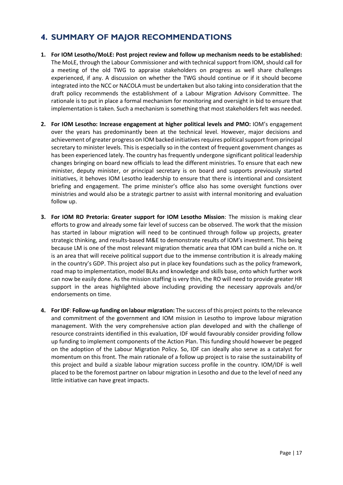## <span id="page-16-0"></span>**4. SUMMARY OF MAJOR RECOMMENDATIONS**

- **1. For IOM Lesotho/MoLE: Post project review and follow up mechanism needs to be established:** The MoLE, through the Labour Commissioner and with technical support from IOM, should call for a meeting of the old TWG to appraise stakeholders on progress as well share challenges experienced, if any. A discussion on whether the TWG should continue or if it should become integrated into the NCC or NACOLA must be undertaken but also taking into consideration that the draft policy recommends the establishment of a Labour Migration Advisory Committee. The rationale is to put in place a formal mechanism for monitoring and oversight in bid to ensure that implementation is taken. Such a mechanism is something that most stakeholders felt was needed.
- **2. For IOM Lesotho: Increase engagement at higher political levels and PMO:** IOM's engagement over the years has predominantly been at the technical level. However, major decisions and achievement of greater progress on IOM backed initiatives requires political support from principal secretary to minister levels. This is especially so in the context of frequent government changes as has been experienced lately. The country has frequently undergone significant political leadership changes bringing on board new officials to lead the different ministries. To ensure that each new minister, deputy minister, or principal secretary is on board and supports previously started initiatives, it behoves IOM Lesotho leadership to ensure that there is intentional and consistent briefing and engagement. The prime minister's office also has some oversight functions over ministries and would also be a strategic partner to assist with internal monitoring and evaluation follow up.
- **3. For IOM RO Pretoria: Greater support for IOM Lesotho Mission**: The mission is making clear efforts to grow and already some fair level of success can be observed. The work that the mission has started in labour migration will need to be continued through follow up projects, greater strategic thinking, and results-based M&E to demonstrate results of IOM's investment. This being because LM is one of the most relevant migration thematic area that IOM can build a niche on. It is an area that will receive political support due to the immense contribution it is already making in the country's GDP. This project also put in place key foundations such as the policy framework, road map to implementation, model BLAs and knowledge and skills base, onto which further work can now be easily done. As the mission staffing is very thin, the RO will need to provide greater HR support in the areas highlighted above including providing the necessary approvals and/or endorsements on time.
- **4. For IDF**: **Follow-up funding on labour migration:** The success of this project points to the relevance and commitment of the government and IOM mission in Lesotho to improve labour migration management. With the very comprehensive action plan developed and with the challenge of resource constraints identified in this evaluation, IDF would favourably consider providing follow up funding to implement components of the Action Plan. This funding should however be pegged on the adoption of the Labour Migration Policy. So, IDF can ideally also serve as a catalyst for momentum on this front. The main rationale of a follow up project is to raise the sustainability of this project and build a sizable labour migration success profile in the country. IOM/IDF is well placed to be the foremost partner on labour migration in Lesotho and due to the level of need any little initiative can have great impacts.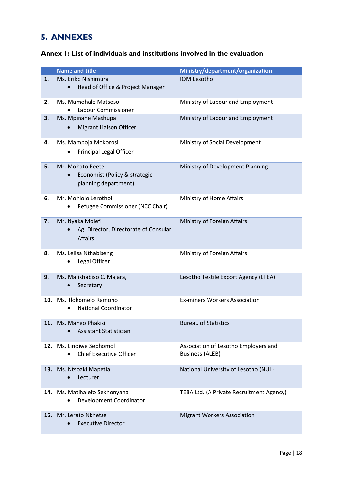# <span id="page-17-0"></span>**5. ANNEXES**

<span id="page-17-1"></span>

| Annex 1: List of individuals and institutions involved in the evaluation |  |  |  |
|--------------------------------------------------------------------------|--|--|--|
|--------------------------------------------------------------------------|--|--|--|

|      | <b>Name and title</b>                         | Ministry/department/organization         |
|------|-----------------------------------------------|------------------------------------------|
| 1.   | Ms. Eriko Nishimura                           | <b>IOM Lesotho</b>                       |
|      | Head of Office & Project Manager<br>$\bullet$ |                                          |
| 2.   | Ms. Mamohale Matsoso                          | Ministry of Labour and Employment        |
|      | Labour Commissioner                           |                                          |
| 3.   | Ms. Mpinane Mashupa                           | Ministry of Labour and Employment        |
|      | Migrant Liaison Officer                       |                                          |
|      |                                               |                                          |
| 4.   | Ms. Mampoja Mokorosi                          | Ministry of Social Development           |
|      | Principal Legal Officer                       |                                          |
| 5.   | Mr. Mohato Peete                              | Ministry of Development Planning         |
|      | Economist (Policy & strategic<br>$\bullet$    |                                          |
|      | planning department)                          |                                          |
| 6.   | Mr. Mohlolo Lerotholi                         | Ministry of Home Affairs                 |
|      | Refugee Commissioner (NCC Chair)              |                                          |
|      |                                               |                                          |
| 7.   | Mr. Nyaka Molefi                              | Ministry of Foreign Affairs              |
|      | Ag. Director, Directorate of Consular         |                                          |
|      | <b>Affairs</b>                                |                                          |
| 8.   | Ms. Lelisa Nthabiseng                         | Ministry of Foreign Affairs              |
|      | Legal Officer                                 |                                          |
|      |                                               |                                          |
| 9.   | Ms. Malikhabiso C. Majara,                    | Lesotho Textile Export Agency (LTEA)     |
|      | Secretary                                     |                                          |
| 10.  | Ms. Tlokomelo Ramono                          | <b>Ex-miners Workers Association</b>     |
|      | <b>National Coordinator</b><br>$\bullet$      |                                          |
|      |                                               |                                          |
| 11.  | Ms. Maneo Phakisi                             | <b>Bureau of Statistics</b>              |
|      | Assistant Statistician                        |                                          |
| 12.1 | Ms. Lindiwe Sephomol                          | Association of Lesotho Employers and     |
|      | <b>Chief Executive Officer</b>                | <b>Business (ALEB)</b>                   |
|      |                                               |                                          |
| 13.  | Ms. Ntsoaki Mapetla<br>Lecturer<br>$\bullet$  | National University of Lesotho (NUL)     |
|      |                                               |                                          |
| 14.  | Ms. Matihalefo Sekhonyana                     | TEBA Ltd. (A Private Recruitment Agency) |
|      | <b>Development Coordinator</b>                |                                          |
| 15.  | Mr. Lerato Nkhetse                            | <b>Migrant Workers Association</b>       |
|      | <b>Executive Director</b>                     |                                          |
|      |                                               |                                          |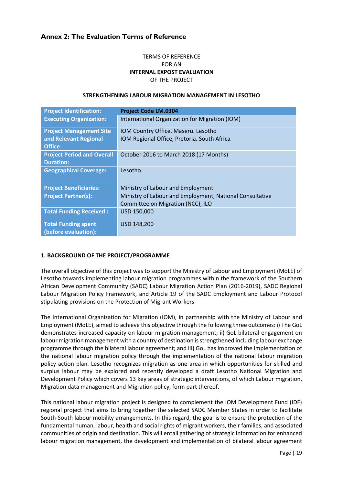## **Annex 2: The Evaluation Terms of Reference**

## TERMS OF REFERENCE FOR AN **INTERNAL EXPOST EVALUATION** OF THE PROJECT

#### **STRENGTHENING LABOUR MIGRATION MANAGEMENT IN LESOTHO**

| <b>Project Identification:</b>    | <b>Project Code LM.0304</b>                              |
|-----------------------------------|----------------------------------------------------------|
| <b>Executing Organization:</b>    | International Organization for Migration (IOM)           |
| <b>Project Management Site</b>    | IOM Country Office, Maseru. Lesotho                      |
| and Relevant Regional             | IOM Regional Office, Pretoria. South Africa.             |
| <b>Office</b>                     |                                                          |
| <b>Project Period and Overall</b> | October 2016 to March 2018 (17 Months)                   |
| <b>Duration:</b>                  |                                                          |
| <b>Geographical Coverage:</b>     | Lesotho                                                  |
|                                   |                                                          |
| <b>Project Beneficiaries:</b>     | Ministry of Labour and Employment                        |
| <b>Project Partner(s):</b>        | Ministry of Labour and Employment, National Consultative |
|                                   | Committee on Migration (NCC), ILO                        |
| <b>Total Funding Received:</b>    | USD 150,000                                              |
| <b>Total Funding spent</b>        | USD 148,200                                              |
| (before evaluation):              |                                                          |

## **1. BACKGROUND OF THE PROJECT/PROGRAMME**

The overall objective of this project was to support the Ministry of Labour and Employment (MoLE) of Lesotho towards implementing labour migration programmes within the framework of the Southern African Development Community (SADC) Labour Migration Action Plan (2016-2019), SADC Regional Labour Migration Policy Framework, and Article 19 of the SADC Employment and Labour Protocol stipulating provisions on the Protection of Migrant Workers

The International Organization for Migration (IOM), in partnership with the Ministry of Labour and Employment (MoLE), aimed to achieve this objective through the following three outcomes: i) The GoL demonstrates increased capacity on labour migration management; ii) GoL bilateral engagement on labour migration management with a country of destination is strengthened including labour exchange programme through the bilateral labour agreement; and iii) GoL has improved the implementation of the national labour migration policy through the implementation of the national labour migration policy action plan. Lesotho recognizes migration as one area in which opportunities for skilled and surplus labour may be explored and recently developed a draft Lesotho National Migration and Development Policy which covers 13 key areas of strategic interventions, of which Labour migration, Migration data management and Migration policy, form part thereof.

This national labour migration project is designed to complement the IOM Development Fund (IDF) regional project that aims to bring together the selected SADC Member States in order to facilitate South-South labour mobility arrangements. In this regard, the goal is to ensure the protection of the fundamental human, labour, health and social rights of migrant workers, their families, and associated communities of origin and destination. This will entail gathering of strategic information for enhanced labour migration management, the development and implementation of bilateral labour agreement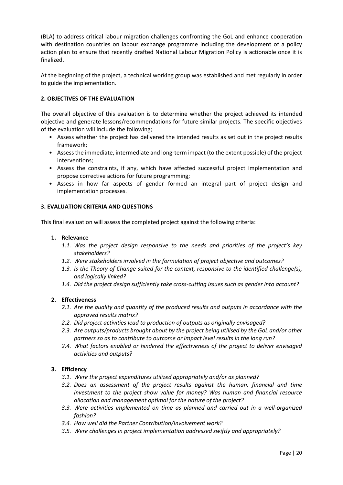(BLA) to address critical labour migration challenges confronting the GoL and enhance cooperation with destination countries on labour exchange programme including the development of a policy action plan to ensure that recently drafted National Labour Migration Policy is actionable once it is finalized.

At the beginning of the project, a technical working group was established and met regularly in order to guide the implementation.

## **2. OBJECTIVES OF THE EVALUATION**

The overall objective of this evaluation is to determine whether the project achieved its intended objective and generate lessons/recommendations for future similar projects. The specific objectives of the evaluation will include the following;

- Assess whether the project has delivered the intended results as set out in the project results framework;
- Assess the immediate, intermediate and long-term impact (to the extent possible) of the project interventions;
- Assess the constraints, if any, which have affected successful project implementation and propose corrective actions for future programming;
- Assess in how far aspects of gender formed an integral part of project design and implementation processes.

## **3. EVALUATION CRITERIA AND QUESTIONS**

This final evaluation will assess the completed project against the following criteria:

## **1. Relevance**

- *1.1. Was the project design responsive to the needs and priorities of the project's key stakeholders?*
- *1.2. Were stakeholders involved in the formulation of project objective and outcomes?*
- *1.3. Is the Theory of Change suited for the context, responsive to the identified challenge(s), and logically linked?*
- *1.4. Did the project design sufficiently take cross-cutting issues such as gender into account?*

## **2. Effectiveness**

- *2.1. Are the quality and quantity of the produced results and outputs in accordance with the approved results matrix?*
- *2.2. Did project activities lead to production of outputs as originally envisaged?*
- *2.3. Are outputs/products brought about by the project being utilised by the GoL and/or other partners so as to contribute to outcome or impact level results in the long run?*
- *2.4. What factors enabled or hindered the effectiveness of the project to deliver envisaged activities and outputs?*

## **3. Efficiency**

- *3.1. Were the project expenditures utilized appropriately and/or as planned?*
- *3.2. Does an assessment of the project results against the human, financial and time investment to the project show value for money? Was human and financial resource allocation and management optimal for the nature of the project?*
- *3.3. Were activities implemented on time as planned and carried out in a well-organized fashion?*
- *3.4. How well did the Partner Contribution/Involvement work?*
- *3.5. Were challenges in project implementation addressed swiftly and appropriately?*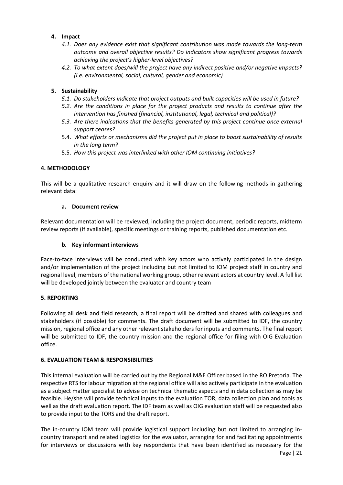## **4. Impact**

- *4.1. Does any evidence exist that significant contribution was made towards the long-term outcome and overall objective results? Do indicators show significant progress towards achieving the project's higher-level objectives?*
- *4.2. To what extent does/will the project have any indirect positive and/or negative impacts? (i.e. environmental, social, cultural, gender and economic)*

## **5. Sustainability**

- *5.1. Do stakeholders indicate that project outputs and built capacities will be used in future?*
- *5.2. Are the conditions in place for the project products and results to continue after the intervention has finished (financial, institutional, legal, technical and political)?*
- *5.3. Are there indications that the benefits generated by this project continue once external support ceases?*
- 5.4. *What efforts or mechanisms did the project put in place to boost sustainability of results in the long term?*
- 5.5. *How this project was interlinked with other IOM continuing initiatives?*

## **4. METHODOLOGY**

This will be a qualitative research enquiry and it will draw on the following methods in gathering relevant data:

## **a. Document review**

Relevant documentation will be reviewed, including the project document, periodic reports, midterm review reports (if available), specific meetings or training reports, published documentation etc.

## **b. Key informant interviews**

Face-to-face interviews will be conducted with key actors who actively participated in the design and/or implementation of the project including but not limited to IOM project staff in country and regional level, members of the national working group, other relevant actors at country level. A full list will be developed jointly between the evaluator and country team

## **5. REPORTING**

Following all desk and field research, a final report will be drafted and shared with colleagues and stakeholders (if possible) for comments. The draft document will be submitted to IDF, the country mission, regional office and any other relevant stakeholders for inputs and comments. The final report will be submitted to IDF, the country mission and the regional office for filing with OIG Evaluation office.

## **6. EVALUATION TEAM & RESPONSIBILITIES**

This internal evaluation will be carried out by the Regional M&E Officer based in the RO Pretoria. The respective RTS for labour migration at the regional office will also actively participate in the evaluation as a subject matter specialist to advise on technical thematic aspects and in data collection as may be feasible. He/she will provide technical inputs to the evaluation TOR, data collection plan and tools as well as the draft evaluation report. The IDF team as well as OIG evaluation staff will be requested also to provide input to the TORS and the draft report.

The in-country IOM team will provide logistical support including but not limited to arranging incountry transport and related logistics for the evaluator, arranging for and facilitating appointments for interviews or discussions with key respondents that have been identified as necessary for the